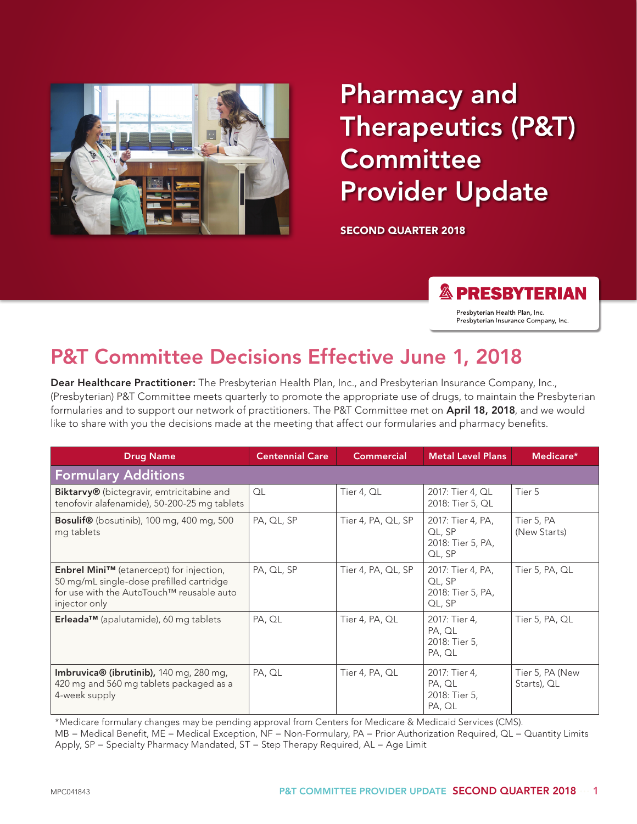

# Pharmacy and Therapeutics (P&T) **Committee** Provider Update

SECOND QUARTER 2018

**& PRESBYTERIAN** 

Presbyterian Health Plan, Inc. Presbyterian Insurance Company, Inc.

## P&T Committee Decisions Effective June 1, 2018

Dear Healthcare Practitioner: The Presbyterian Health Plan, Inc., and Presbyterian Insurance Company, Inc., (Presbyterian) P&T Committee meets quarterly to promote the appropriate use of drugs, to maintain the Presbyterian formularies and to support our network of practitioners. The P&T Committee met on April 18, 2018, and we would like to share with you the decisions made at the meeting that affect our formularies and pharmacy benefits.

| <b>Drug Name</b>                                                                                                                                   | <b>Centennial Care</b> | <b>Commercial</b>  | <b>Metal Level Plans</b>                                   | Medicare*                      |  |
|----------------------------------------------------------------------------------------------------------------------------------------------------|------------------------|--------------------|------------------------------------------------------------|--------------------------------|--|
| <b>Formulary Additions</b>                                                                                                                         |                        |                    |                                                            |                                |  |
| Biktarvy® (bictegravir, emtricitabine and<br>tenofovir alafenamide), 50-200-25 mg tablets                                                          | OL                     | Tier 4, QL         | 2017: Tier 4, QL<br>2018: Tier 5, QL                       | Tier 5                         |  |
| <b>Bosulif®</b> (bosutinib), 100 mg, 400 mg, 500<br>mg tablets                                                                                     | PA, QL, SP             | Tier 4, PA, QL, SP | 2017: Tier 4, PA,<br>QL, SP<br>2018: Tier 5, PA,<br>QL, SP | Tier 5, PA<br>(New Starts)     |  |
| Enbrel Mini™ (etanercept) for injection,<br>50 mg/mL single-dose prefilled cartridge<br>for use with the AutoTouch™ reusable auto<br>injector only | PA, QL, SP             | Tier 4, PA, QL, SP | 2017: Tier 4, PA,<br>QL, SP<br>2018: Tier 5, PA,<br>QL, SP | Tier 5, PA, QL                 |  |
| Erleada <sup>TM</sup> (apalutamide), 60 mg tablets                                                                                                 | PA, QL                 | Tier 4, PA, QL     | 2017: Tier 4,<br>PA, QL<br>2018: Tier 5,<br>PA, QL         | Tier 5, PA, QL                 |  |
| Imbruvica® (ibrutinib), 140 mg, 280 mg,<br>420 mg and 560 mg tablets packaged as a<br>4-week supply                                                | PA, QL                 | Tier 4, PA, QL     | 2017: Tier 4,<br>PA, QL<br>2018: Tier 5,<br>PA, QL         | Tier 5, PA (New<br>Starts), QL |  |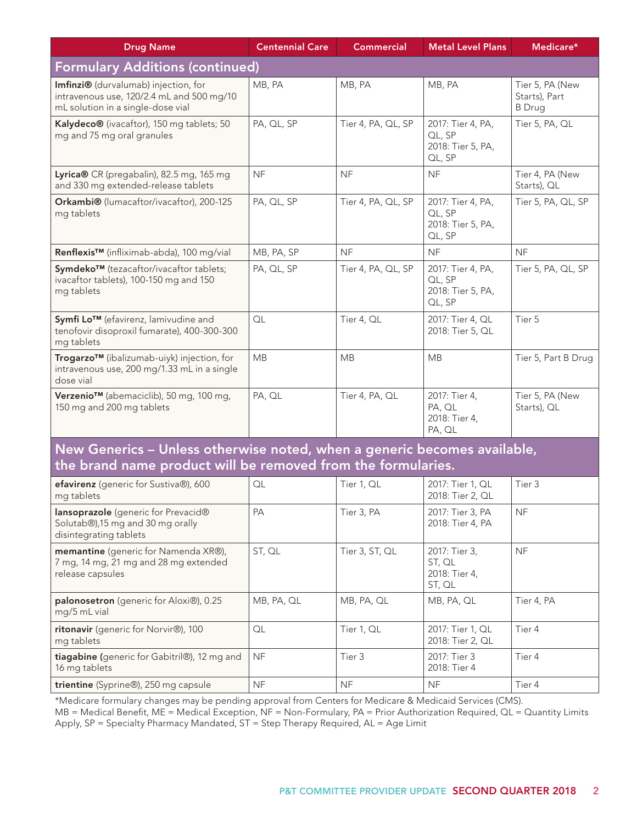| <b>Drug Name</b>                                                                                                       | <b>Centennial Care</b> | <b>Commercial</b>  | <b>Metal Level Plans</b>                                   | Medicare*                                         |  |
|------------------------------------------------------------------------------------------------------------------------|------------------------|--------------------|------------------------------------------------------------|---------------------------------------------------|--|
| <b>Formulary Additions (continued)</b>                                                                                 |                        |                    |                                                            |                                                   |  |
| Imfinzi® (durvalumab) injection, for<br>intravenous use, 120/2.4 mL and 500 mg/10<br>mL solution in a single-dose vial | MB, PA                 | MB, PA             | MB, PA                                                     | Tier 5, PA (New<br>Starts), Part<br><b>B</b> Drug |  |
| Kalydeco® (ivacaftor), 150 mg tablets; 50<br>mg and 75 mg oral granules                                                | PA, QL, SP             | Tier 4, PA, QL, SP | 2017: Tier 4, PA,<br>QL, SP<br>2018: Tier 5, PA,<br>QL, SP | Tier 5, PA, QL                                    |  |
| Lyrica® CR (pregabalin), 82.5 mg, 165 mg<br>and 330 mg extended-release tablets                                        | <b>NF</b>              | <b>NF</b>          | <b>NF</b>                                                  | Tier 4, PA (New<br>Starts), QL                    |  |
| Orkambi® (lumacaftor/ivacaftor), 200-125<br>mg tablets                                                                 | PA, QL, SP             | Tier 4, PA, QL, SP | 2017: Tier 4, PA,<br>QL, SP<br>2018: Tier 5, PA,<br>QL, SP | Tier 5, PA, QL, SP                                |  |
| Renflexis™ (infliximab-abda), 100 mg/vial                                                                              | MB, PA, SP             | <b>NF</b>          | <b>NF</b>                                                  | <b>NF</b>                                         |  |
| Symdeko™ (tezacaftor/ivacaftor tablets;<br>ivacaftor tablets), 100-150 mg and 150<br>mg tablets                        | PA, QL, SP             | Tier 4, PA, QL, SP | 2017: Tier 4, PA,<br>QL, SP<br>2018: Tier 5, PA,<br>QL, SP | Tier 5, PA, QL, SP                                |  |
| Symfi Lo™ (efavirenz, lamivudine and<br>tenofovir disoproxil fumarate), 400-300-300<br>mg tablets                      | OL                     | Tier 4, QL         | 2017: Tier 4, QL<br>2018: Tier 5, QL                       | Tier 5                                            |  |
| Trogarzo™ (ibalizumab-uiyk) injection, for<br>intravenous use, 200 mg/1.33 mL in a single<br>dose vial                 | <b>MB</b>              | <b>MB</b>          | <b>MB</b>                                                  | Tier 5, Part B Drug                               |  |
| Verzenio <sup>™</sup> (abemaciclib), 50 mg, 100 mg,<br>150 mg and 200 mg tablets                                       | PA, QL                 | Tier 4, PA, QL     | 2017: Tier 4,<br>PA, QL<br>2018: Tier 4,<br>PA, QL         | Tier 5, PA (New<br>Starts), QL                    |  |

#### New Generics – Unless otherwise noted, when a generic becomes available, the brand name product will be removed from the formularies.

| efavirenz (generic for Sustiva®), 600<br>mg tablets                                               | QL         | Tier 1, QL     | 2017: Tier 1, QL<br>2018: Tier 2, QL               | Tier 3     |
|---------------------------------------------------------------------------------------------------|------------|----------------|----------------------------------------------------|------------|
| lansoprazole (generic for Prevacid®<br>Solutab®),15 mg and 30 mg orally<br>disintegrating tablets | PA         | Tier 3, PA     | 2017: Tier 3, PA<br>2018: Tier 4, PA               | <b>NF</b>  |
| memantine (generic for Namenda XR®),<br>7 mg, 14 mg, 21 mg and 28 mg extended<br>release capsules | ST, QL     | Tier 3, ST, QL | 2017: Tier 3,<br>ST, QL<br>2018: Tier 4,<br>ST, QL | <b>NF</b>  |
| palonosetron (generic for Aloxi®), 0.25<br>mg/5 mL vial                                           | MB, PA, QL | MB, PA, QL     | MB, PA, QL                                         | Tier 4, PA |
| ritonavir (generic for Norvir®), 100<br>mg tablets                                                | QL         | Tier 1, QL     | 2017: Tier 1, QL<br>2018: Tier 2, QL               | Tier 4     |
| tiagabine (generic for Gabitril®), 12 mg and<br>16 mg tablets                                     | <b>NF</b>  | Tier 3         | 2017: Tier 3<br>2018: Tier 4                       | Tier 4     |
| trientine (Syprine®), 250 mg capsule                                                              | <b>NF</b>  | <b>NF</b>      | <b>NF</b>                                          | Tier 4     |

\*Medicare formulary changes may be pending approval from Centers for Medicare & Medicaid Services (CMS).

MB = Medical Benefit, ME = Medical Exception, NF = Non-Formulary, PA = Prior Authorization Required, QL = Quantity Limits Apply, SP = Specialty Pharmacy Mandated, ST = Step Therapy Required, AL = Age Limit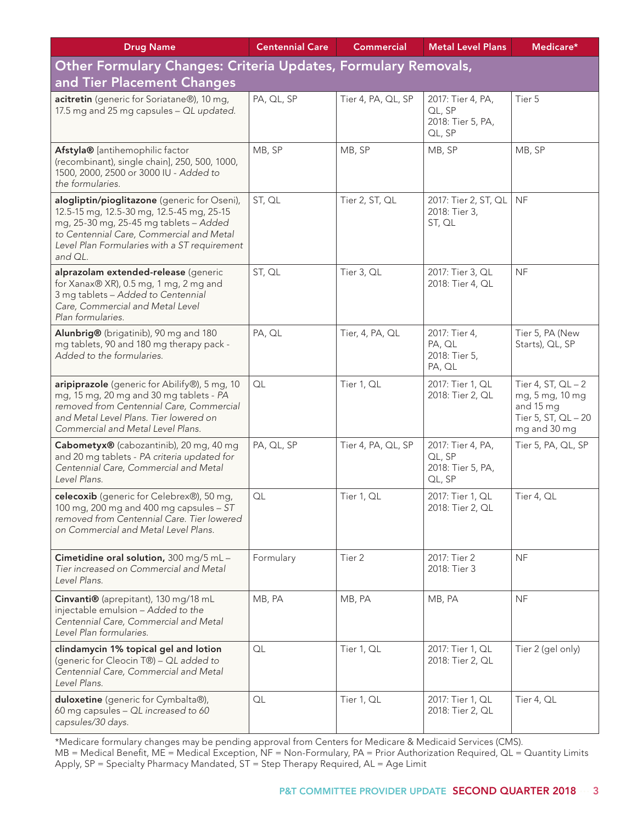| <b>Drug Name</b>                                                                                                                                                                                                                           | <b>Centennial Care</b> | <b>Commercial</b>  | <b>Metal Level Plans</b>                                   | Medicare*                                                                                   |  |  |
|--------------------------------------------------------------------------------------------------------------------------------------------------------------------------------------------------------------------------------------------|------------------------|--------------------|------------------------------------------------------------|---------------------------------------------------------------------------------------------|--|--|
| Other Formulary Changes: Criteria Updates, Formulary Removals,                                                                                                                                                                             |                        |                    |                                                            |                                                                                             |  |  |
| and Tier Placement Changes                                                                                                                                                                                                                 |                        |                    |                                                            |                                                                                             |  |  |
| acitretin (generic for Soriatane®), 10 mg,<br>17.5 mg and 25 mg capsules - QL updated.                                                                                                                                                     | PA, QL, SP             | Tier 4, PA, QL, SP | 2017: Tier 4, PA,<br>QL, SP<br>2018: Tier 5, PA,<br>QL, SP | Tier 5                                                                                      |  |  |
| Afstyla® [antihemophilic factor<br>(recombinant), single chain], 250, 500, 1000,<br>1500, 2000, 2500 or 3000 IU - Added to<br>the formularies.                                                                                             | MB, SP                 | MB, SP             | MB, SP                                                     | MB, SP                                                                                      |  |  |
| alogliptin/pioglitazone (generic for Oseni),<br>12.5-15 mg, 12.5-30 mg, 12.5-45 mg, 25-15<br>mg, 25-30 mg, 25-45 mg tablets - Added<br>to Centennial Care, Commercial and Metal<br>Level Plan Formularies with a ST requirement<br>and QL. | ST, QL                 | Tier 2, ST, QL     | 2017: Tier 2, ST, QL<br>2018: Tier 3,<br>ST, QL            | <b>NF</b>                                                                                   |  |  |
| alprazolam extended-release (generic<br>for Xanax® XR), 0.5 mg, 1 mg, 2 mg and<br>3 mg tablets - Added to Centennial<br>Care, Commercial and Metal Level<br>Plan formularies.                                                              | ST, QL                 | Tier 3, QL         | 2017: Tier 3, QL<br>2018: Tier 4, QL                       | <b>NF</b>                                                                                   |  |  |
| Alunbrig® (brigatinib), 90 mg and 180<br>mg tablets, 90 and 180 mg therapy pack -<br>Added to the formularies.                                                                                                                             | PA, QL                 | Tier, 4, PA, QL    | 2017: Tier 4,<br>PA, QL<br>2018: Tier 5,<br>PA, QL         | Tier 5, PA (New<br>Starts), QL, SP                                                          |  |  |
| aripiprazole (generic for Abilify®), 5 mg, 10<br>mg, 15 mg, 20 mg and 30 mg tablets - PA<br>removed from Centennial Care, Commercial<br>and Metal Level Plans. Tier lowered on<br>Commercial and Metal Level Plans.                        | QL                     | Tier 1, QL         | 2017: Tier 1, QL<br>2018: Tier 2, QL                       | Tier 4, ST, $QL - 2$<br>mg, 5 mg, 10 mg<br>and 15 mg<br>Tier 5, ST, QL - 20<br>mg and 30 mg |  |  |
| Cabometyx® (cabozantinib), 20 mg, 40 mg<br>and 20 mg tablets - PA criteria updated for<br>Centennial Care, Commercial and Metal<br>Level Plans.                                                                                            | PA, QL, SP             | Tier 4, PA, QL, SP | 2017: Tier 4, PA,<br>QL, SP<br>2018: Tier 5, PA,<br>QL, SP | Tier 5, PA, QL, SP                                                                          |  |  |
| celecoxib (generic for Celebrex®), 50 mg,<br>100 mg, 200 mg and 400 mg capsules - ST<br>removed from Centennial Care. Tier lowered<br>on Commercial and Metal Level Plans.                                                                 | QL                     | Tier 1, QL         | 2017: Tier 1, QL<br>2018: Tier 2, QL                       | Tier 4, QL                                                                                  |  |  |
| Cimetidine oral solution, 300 mg/5 mL-<br>Tier increased on Commercial and Metal<br>Level Plans.                                                                                                                                           | Formulary              | Tier 2             | 2017: Tier 2<br>2018: Tier 3                               | <b>NF</b>                                                                                   |  |  |
| Cinvanti® (aprepitant), 130 mg/18 mL<br>injectable emulsion - Added to the<br>Centennial Care, Commercial and Metal<br>Level Plan formularies.                                                                                             | MB, PA                 | MB, PA             | MB, PA                                                     | <b>NF</b>                                                                                   |  |  |
| clindamycin 1% topical gel and lotion<br>(generic for Cleocin T®) - QL added to<br>Centennial Care, Commercial and Metal<br>Level Plans.                                                                                                   | QL                     | Tier 1, QL         | 2017: Tier 1, QL<br>2018: Tier 2, QL                       | Tier 2 (gel only)                                                                           |  |  |
| duloxetine (generic for Cymbalta®),<br>60 mg capsules - QL increased to 60<br>capsules/30 days.                                                                                                                                            | QL                     | Tier 1, QL         | 2017: Tier 1, QL<br>2018: Tier 2, QL                       | Tier 4, QL                                                                                  |  |  |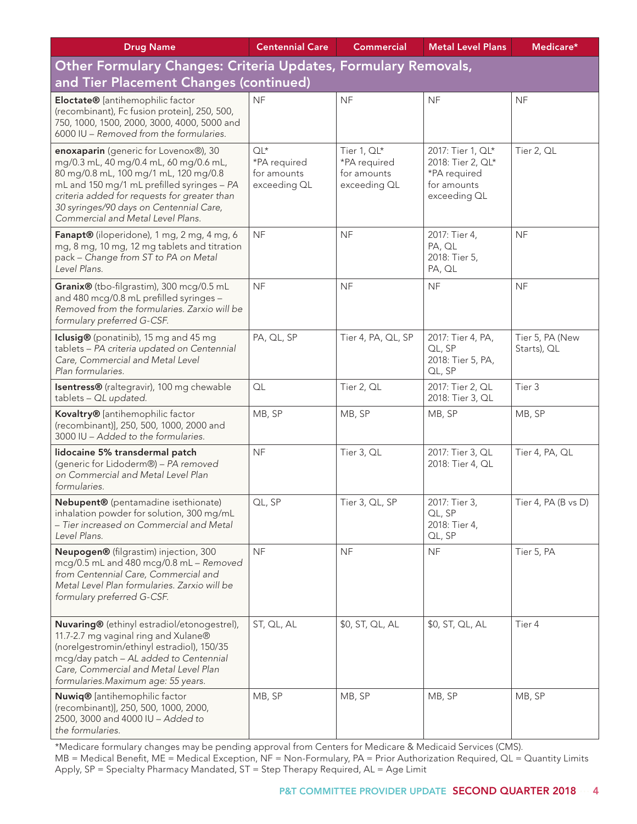| <b>Drug Name</b>                                                                                                                                                                                                                                                                                       | <b>Centennial Care</b>                                | <b>Commercial</b>                                          | <b>Metal Level Plans</b>                                                              | Medicare*                      |  |  |
|--------------------------------------------------------------------------------------------------------------------------------------------------------------------------------------------------------------------------------------------------------------------------------------------------------|-------------------------------------------------------|------------------------------------------------------------|---------------------------------------------------------------------------------------|--------------------------------|--|--|
| Other Formulary Changes: Criteria Updates, Formulary Removals,                                                                                                                                                                                                                                         |                                                       |                                                            |                                                                                       |                                |  |  |
| and Tier Placement Changes (continued)                                                                                                                                                                                                                                                                 |                                                       |                                                            |                                                                                       |                                |  |  |
| Eloctate® [antihemophilic factor<br>(recombinant), Fc fusion protein], 250, 500,<br>750, 1000, 1500, 2000, 3000, 4000, 5000 and<br>6000 IU - Removed from the formularies.                                                                                                                             | <b>NF</b>                                             | <b>NF</b>                                                  | <b>NF</b>                                                                             | <b>NF</b>                      |  |  |
| enoxaparin (generic for Lovenox®), 30<br>mg/0.3 mL, 40 mg/0.4 mL, 60 mg/0.6 mL,<br>80 mg/0.8 mL, 100 mg/1 mL, 120 mg/0.8<br>mL and 150 mg/1 mL prefilled syringes - PA<br>criteria added for requests for greater than<br>30 syringes/90 days on Centennial Care,<br>Commercial and Metal Level Plans. | $QL^*$<br>*PA required<br>for amounts<br>exceeding QL | Tier 1, QL*<br>*PA required<br>for amounts<br>exceeding QL | 2017: Tier 1, QL*<br>2018: Tier 2, QL*<br>*PA required<br>for amounts<br>exceeding QL | Tier 2, QL                     |  |  |
| Fanapt® (iloperidone), 1 mg, 2 mg, 4 mg, 6<br>mg, 8 mg, 10 mg, 12 mg tablets and titration<br>pack - Change from ST to PA on Metal<br>Level Plans.                                                                                                                                                     | <b>NF</b>                                             | <b>NF</b>                                                  | 2017: Tier 4,<br>PA, QL<br>2018: Tier 5,<br>PA, QL                                    | <b>NF</b>                      |  |  |
| Granix® (tbo-filgrastim), 300 mcg/0.5 mL<br>and 480 mcg/0.8 mL prefilled syringes -<br>Removed from the formularies. Zarxio will be<br>formulary preferred G-CSF.                                                                                                                                      | <b>NF</b>                                             | <b>NF</b>                                                  | <b>NF</b>                                                                             | <b>NF</b>                      |  |  |
| Iclusig® (ponatinib), 15 mg and 45 mg<br>tablets - PA criteria updated on Centennial<br>Care, Commercial and Metal Level<br>Plan formularies.                                                                                                                                                          | PA, QL, SP                                            | Tier 4, PA, QL, SP                                         | 2017: Tier 4, PA,<br>QL, SP<br>2018: Tier 5, PA,<br>QL, SP                            | Tier 5, PA (New<br>Starts), QL |  |  |
| Isentress® (raltegravir), 100 mg chewable<br>tablets - QL updated.                                                                                                                                                                                                                                     | QL                                                    | Tier 2, QL                                                 | 2017: Tier 2, QL<br>2018: Tier 3, QL                                                  | Tier 3                         |  |  |
| Kovaltry® [antihemophilic factor<br>(recombinant)], 250, 500, 1000, 2000 and<br>3000 IU - Added to the formularies.                                                                                                                                                                                    | MB, SP                                                | MB, SP                                                     | MB, SP                                                                                | MB, SP                         |  |  |
| lidocaine 5% transdermal patch<br>(generic for Lidoderm®) - PA removed<br>on Commercial and Metal Level Plan<br>formularies.                                                                                                                                                                           | <b>NF</b>                                             | Tier 3, QL                                                 | 2017: Tier 3, QL<br>2018: Tier 4, QL                                                  | Tier 4, PA, QL                 |  |  |
| Nebupent® (pentamadine isethionate)<br>inhalation powder for solution, 300 mg/mL<br>- Tier increased on Commercial and Metal<br>Level Plans.                                                                                                                                                           | QL, SP                                                | Tier 3, QL, SP                                             | 2017: Tier 3,<br>QL, SP<br>2018: Tier 4,<br>QL, SP                                    | Tier 4, PA (B vs D)            |  |  |
| Neupogen® (filgrastim) injection, 300<br>mcg/0.5 mL and 480 mcg/0.8 mL - Removed<br>from Centennial Care, Commercial and<br>Metal Level Plan formularies. Zarxio will be<br>formulary preferred G-CSF.                                                                                                 | NF                                                    | <b>NF</b>                                                  | NF                                                                                    | Tier 5, PA                     |  |  |
| Nuvaring® (ethinyl estradiol/etonogestrel),<br>11.7-2.7 mg vaginal ring and Xulane®<br>(norelgestromin/ethinyl estradiol), 150/35<br>mcg/day patch - AL added to Centennial<br>Care, Commercial and Metal Level Plan<br>formularies. Maximum age: 55 years.                                            | ST, QL, AL                                            | \$0, ST, QL, AL                                            | \$0, ST, QL, AL                                                                       | Tier 4                         |  |  |
| Nuwiq® [antihemophilic factor<br>(recombinant)], 250, 500, 1000, 2000,<br>2500, 3000 and 4000 IU - Added to<br>the formularies.                                                                                                                                                                        | MB, SP                                                | MB, SP                                                     | MB, SP                                                                                | MB, SP                         |  |  |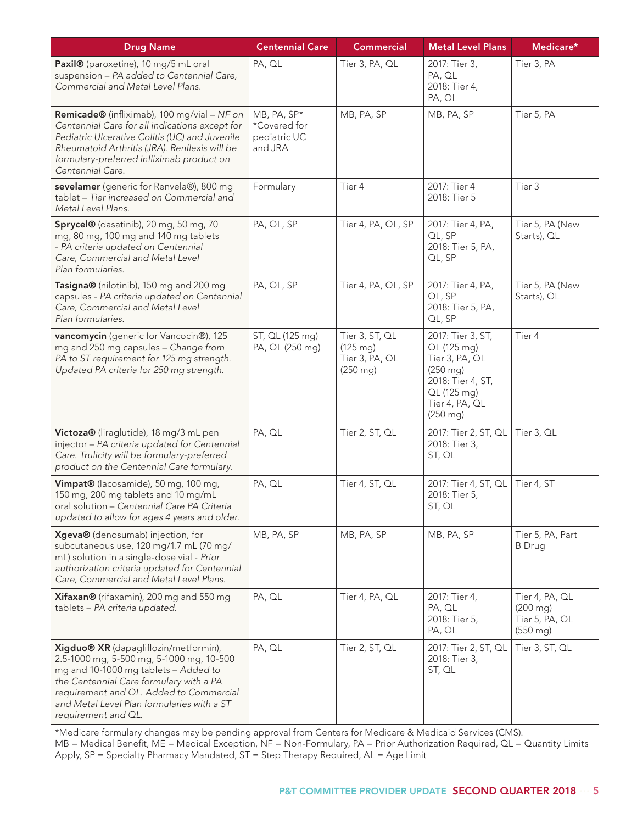| <b>Drug Name</b>                                                                                                                                                                                                                                                                     | <b>Centennial Care</b>                                 | <b>Commercial</b>                                                    | <b>Metal Level Plans</b>                                                                                                                     | Medicare*                                                               |
|--------------------------------------------------------------------------------------------------------------------------------------------------------------------------------------------------------------------------------------------------------------------------------------|--------------------------------------------------------|----------------------------------------------------------------------|----------------------------------------------------------------------------------------------------------------------------------------------|-------------------------------------------------------------------------|
| Paxil® (paroxetine), 10 mg/5 mL oral<br>suspension - PA added to Centennial Care,<br>Commercial and Metal Level Plans.                                                                                                                                                               | PA, QL                                                 | Tier 3, PA, QL                                                       | 2017: Tier 3,<br>PA, QL<br>2018: Tier 4,<br>PA, QL                                                                                           | Tier 3, PA                                                              |
| Remicade® (infliximab), 100 mg/vial - NF on<br>Centennial Care for all indications except for<br>Pediatric Ulcerative Colitis (UC) and Juvenile<br>Rheumatoid Arthritis (JRA). Renflexis will be<br>formulary-preferred infliximab product on<br>Centennial Care.                    | MB, PA, SP*<br>*Covered for<br>pediatric UC<br>and JRA | MB, PA, SP                                                           | MB, PA, SP                                                                                                                                   | Tier 5, PA                                                              |
| sevelamer (generic for Renvela®), 800 mg<br>tablet - Tier increased on Commercial and<br>Metal Level Plans.                                                                                                                                                                          | Formulary                                              | Tier 4                                                               | 2017: Tier 4<br>2018: Tier 5                                                                                                                 | Tier 3                                                                  |
| Sprycel® (dasatinib), 20 mg, 50 mg, 70<br>mg, 80 mg, 100 mg and 140 mg tablets<br>- PA criteria updated on Centennial<br>Care, Commercial and Metal Level<br>Plan formularies.                                                                                                       | PA, QL, SP                                             | Tier 4, PA, QL, SP                                                   | 2017: Tier 4, PA,<br>QL, SP<br>2018: Tier 5, PA,<br>QL, SP                                                                                   | Tier 5, PA (New<br>Starts), QL                                          |
| Tasigna® (nilotinib), 150 mg and 200 mg<br>capsules - PA criteria updated on Centennial<br>Care, Commercial and Metal Level<br>Plan formularies.                                                                                                                                     | PA, QL, SP                                             | Tier 4, PA, QL, SP                                                   | 2017: Tier 4, PA,<br>QL, SP<br>2018: Tier 5, PA,<br>QL, SP                                                                                   | Tier 5, PA (New<br>Starts), QL                                          |
| vancomycin (generic for Vancocin®), 125<br>mg and 250 mg capsules - Change from<br>PA to ST requirement for 125 mg strength.<br>Updated PA criteria for 250 mg strength.                                                                                                             | ST, QL (125 mg)<br>PA, QL (250 mg)                     | Tier 3, ST, QL<br>$(125 \text{ mg})$<br>Tier 3, PA, QL<br>$(250$ mg) | 2017: Tier 3, ST,<br>QL (125 mg)<br>Tier 3, PA, QL<br>$(250$ mg)<br>2018: Tier 4, ST,<br>QL (125 mg)<br>Tier 4, PA, QL<br>$(250 \text{ mg})$ | Tier 4                                                                  |
| Victoza® (liraglutide), 18 mg/3 mL pen<br>injector - PA criteria updated for Centennial<br>Care. Trulicity will be formulary-preferred<br>product on the Centennial Care formulary.                                                                                                  | PA, QL                                                 | Tier 2, ST, QL                                                       | 2017: Tier 2, ST, QL<br>2018: Tier 3,<br>ST, QL                                                                                              | Tier 3, QL                                                              |
| Vimpat® (lacosamide), 50 mg, 100 mg,<br>150 mg, 200 mg tablets and 10 mg/mL<br>oral solution - Centennial Care PA Criteria<br>updated to allow for ages 4 years and older.                                                                                                           | PA, QL                                                 | Tier 4, ST, QL                                                       | 2017: Tier 4, ST, QL<br>2018: Tier 5,<br>ST, QL                                                                                              | Tier 4, ST                                                              |
| Xgeva® (denosumab) injection, for<br>subcutaneous use, 120 mg/1.7 mL (70 mg/<br>mL) solution in a single-dose vial - Prior<br>authorization criteria updated for Centennial<br>Care, Commercial and Metal Level Plans.                                                               | MB, PA, SP                                             | MB, PA, SP                                                           | MB, PA, SP                                                                                                                                   | Tier 5, PA, Part<br><b>B</b> Drug                                       |
| Xifaxan® (rifaxamin), 200 mg and 550 mg<br>tablets - PA criteria updated.                                                                                                                                                                                                            | PA, QL                                                 | Tier 4, PA, QL                                                       | 2017: Tier 4,<br>PA, QL<br>2018: Tier 5,<br>PA, QL                                                                                           | Tier 4, PA, QL<br>$(200 \, mg)$<br>Tier 5, PA, QL<br>$(550 \text{ mg})$ |
| Xigduo® XR (dapagliflozin/metformin),<br>2.5-1000 mg, 5-500 mg, 5-1000 mg, 10-500<br>mg and 10-1000 mg tablets - Added to<br>the Centennial Care formulary with a PA<br>requirement and QL. Added to Commercial<br>and Metal Level Plan formularies with a ST<br>requirement and QL. | PA, QL                                                 | Tier 2, ST, QL                                                       | 2017: Tier 2, ST, QL<br>2018: Tier 3,<br>ST, QL                                                                                              | Tier 3, ST, QL                                                          |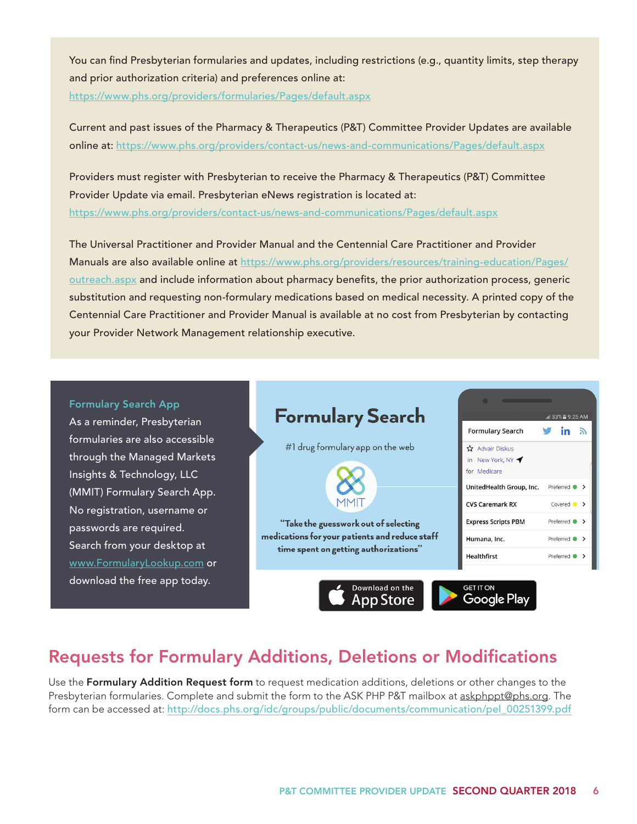You can find Presbyterian formularies and updates, including restrictions (e.g., quantity limits, step therapy and prior authorization criteria) and preferences online at: https://www.phs.org/providers/formularies/Pages/default.aspx

Current and past issues of the Pharmacy & Therapeutics (P&T) Committee Provider Updates are available online at: https://www.phs.org/providers/contact-us/news-and-communications/Pages/default.aspx

Providers must register with Presbyterian to receive the Pharmacy & Therapeutics (P&T) Committee Provider Update via email. Presbyterian eNews registration is located at: https://www.phs.org/providers/contact-us/news-and-communications/Pages/default.aspx

The Universal Practitioner and Provider Manual and the Centennial Care Practitioner and Provider Manuals are also available online at https://www.phs.org/providers/resources/training-education/Pages/ outreach.aspx and include information about pharmacy benefits, the prior authorization process, generic substitution and requesting non-formulary medications based on medical necessity. A printed copy of the Centennial Care Practitioner and Provider Manual is available at no cost from Presbyterian by contacting your Provider Network Management relationship executive.

#### Formulary Search App

As a reminder, Presbyterian formularies are also accessible through the Managed Markets Insights & Technology, LLC (MMIT) Formulary Search App. No registration, username or passwords are required. Search from your desktop at www.FormularyLookup.com or download the free app today.



### Requests for Formulary Additions, Deletions or Modifications

Use the Formulary Addition Request form to request medication additions, deletions or other changes to the Presbyterian formularies. Complete and submit the form to the ASK PHP P&T mailbox at askphppt@phs.org. The form can be accessed at: http://docs.phs.org/idc/groups/public/documents/communication/pel\_00251399.pdf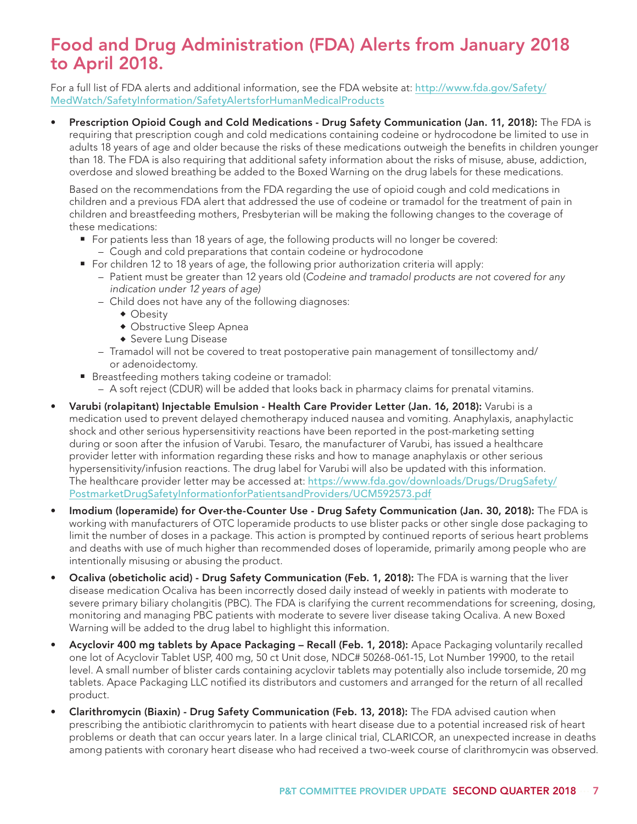## Food and Drug Administration (FDA) Alerts from January 2018 to April 2018.

For a full list of FDA alerts and additional information, see the FDA website at: http://www.fda.gov/Safety/ MedWatch/SafetyInformation/SafetyAlertsforHumanMedicalProducts

Prescription Opioid Cough and Cold Medications - Drug Safety Communication (Jan. 11, 2018): The FDA is requiring that prescription cough and cold medications containing codeine or hydrocodone be limited to use in adults 18 years of age and older because the risks of these medications outweigh the benefits in children younger than 18. The FDA is also requiring that additional safety information about the risks of misuse, abuse, addiction, overdose and slowed breathing be added to the Boxed Warning on the drug labels for these medications.

Based on the recommendations from the FDA regarding the use of opioid cough and cold medications in children and a previous FDA alert that addressed the use of codeine or tramadol for the treatment of pain in children and breastfeeding mothers, Presbyterian will be making the following changes to the coverage of these medications:

- **For patients less than 18 years of age, the following products will no longer be covered:** 
	- Cough and cold preparations that contain codeine or hydrocodone
- For children 12 to 18 years of age, the following prior authorization criteria will apply:
	- Patient must be greater than 12 years old (*Codeine and tramadol products are not covered for any indication under 12 years of age)*
	- Child does not have any of the following diagnoses:
		- $\bullet$  Obesity
		- Obstructive Sleep Apnea
		- Severe Lung Disease
	- Tramadol will not be covered to treat postoperative pain management of tonsillectomy and/ or adenoidectomy.
- Breastfeeding mothers taking codeine or tramadol:
	- A soft reject (CDUR) will be added that looks back in pharmacy claims for prenatal vitamins.
- Varubi (rolapitant) Injectable Emulsion Health Care Provider Letter (Jan. 16, 2018): Varubi is a medication used to prevent delayed chemotherapy induced nausea and vomiting. Anaphylaxis, anaphylactic shock and other serious hypersensitivity reactions have been reported in the post-marketing setting during or soon after the infusion of Varubi. Tesaro, the manufacturer of Varubi, has issued a healthcare provider letter with information regarding these risks and how to manage anaphylaxis or other serious hypersensitivity/infusion reactions. The drug label for Varubi will also be updated with this information. The healthcare provider letter may be accessed at: https://www.fda.gov/downloads/Drugs/DrugSafety/ PostmarketDrugSafetyInformationforPatientsandProviders/UCM592573.pdf
- Imodium (loperamide) for Over-the-Counter Use Drug Safety Communication (Jan. 30, 2018): The FDA is working with manufacturers of OTC loperamide products to use blister packs or other single dose packaging to limit the number of doses in a package. This action is prompted by continued reports of serious heart problems and deaths with use of much higher than recommended doses of loperamide, primarily among people who are intentionally misusing or abusing the product.
- Ocaliva (obeticholic acid) Drug Safety Communication (Feb. 1, 2018): The FDA is warning that the liver disease medication Ocaliva has been incorrectly dosed daily instead of weekly in patients with moderate to severe primary biliary cholangitis (PBC). The FDA is clarifying the current recommendations for screening, dosing, monitoring and managing PBC patients with moderate to severe liver disease taking Ocaliva. A new Boxed Warning will be added to the drug label to highlight this information.
- Acyclovir 400 mg tablets by Apace Packaging Recall (Feb. 1, 2018): Apace Packaging voluntarily recalled one lot of Acyclovir Tablet USP, 400 mg, 50 ct Unit dose, NDC# 50268-061-15, Lot Number 19900, to the retail level. A small number of blister cards containing acyclovir tablets may potentially also include torsemide, 20 mg tablets. Apace Packaging LLC notified its distributors and customers and arranged for the return of all recalled product.
- Clarithromycin (Biaxin) Drug Safety Communication (Feb. 13, 2018): The FDA advised caution when prescribing the antibiotic clarithromycin to patients with heart disease due to a potential increased risk of heart problems or death that can occur years later. In a large clinical trial, CLARICOR, an unexpected increase in deaths among patients with coronary heart disease who had received a two-week course of clarithromycin was observed.